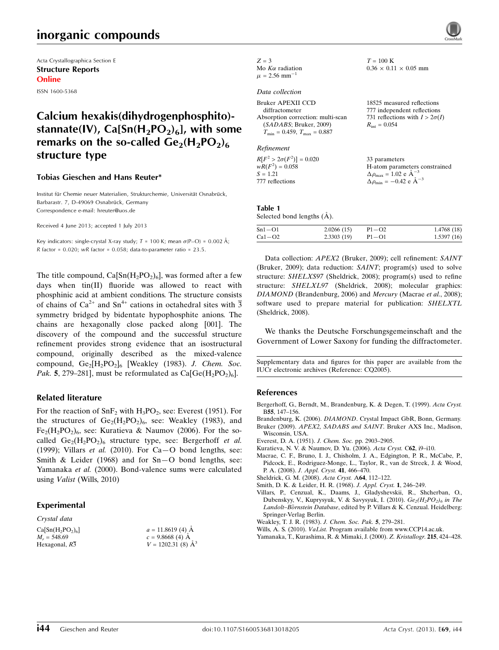# inorganic compounds

Acta Crystallographica Section E Structure Reports Online ISSN 1600-5368

## Calcium hexakis(dihydrogenphosphito) stannate(IV),  $Ca[Sn(H<sub>2</sub>PO<sub>2</sub>)<sub>6</sub>]$ , with some remarks on the so-called  $Ge_2(H_2PO_2)_6$ structure type

#### Tobias Gieschen and Hans Reuter\*

Institut für Chemie neuer Materialien, Strukturchemie, Universität Osnabrück, Barbarastr. 7, D-49069 Osnabrück, Germany Correspondence e-mail: [hreuter@uos.de](https://scripts.iucr.org/cgi-bin/cr.cgi?rm=pdfbb&cnor=cq2005&bbid=BB12)

Received 4 June 2013; accepted 1 July 2013

Key indicators: single-crystal X-ray study;  $T = 100$  K; mean  $\sigma$ (P-O) = 0.002 Å; R factor =  $0.020$ ; wR factor =  $0.058$ ; data-to-parameter ratio =  $23.5$ .

The title compound,  $Ca[Sn(H<sub>2</sub>PO<sub>2</sub>)<sub>6</sub>]$ , was formed after a few days when tin(II) fluoride was allowed to react with phosphinic acid at ambient conditions. The structure consists of chains of Ca<sup>2+</sup> and Sn<sup>4+</sup> cations in octahedral sites with  $\overline{3}$ symmetry bridged by bidentate hypophosphite anions. The chains are hexagonally close packed along [001]. The discovery of the compound and the successful structure refinement provides strong evidence that an isostructural compound, originally described as the mixed-valence compound,  $Ge_2[H_2PO_2]_6$  [Weakley (1983). J. Chem. Soc. Pak. 5, 279–281], must be reformulated as  $Ca[Ge(H_2PO_2)_6]$ .

#### Related literature

For the reaction of  $SnF_2$  with  $H_3PO_2$ , see: Everest (1951). For the structures of  $Ge_2(H_2PO_2)_6$ , see: Weakley (1983), and  $Fe<sub>2</sub>(H<sub>2</sub>PO<sub>2</sub>)<sub>6</sub>$ , see: Kuratieva & Naumov (2006). For the socalled  $Ge_2(H_2PO_2)_6$  structure type, see: Bergerhoff et al. (1999); Villars et al. (2010). For  $Ca-O$  bond lengths, see: Smith & Leider (1968) and for Sn—O bond lengths, see: Yamanaka et al. (2000). Bond-valence sums were calculated using Valist (Wills, 2010)

#### Experimental

Crystal data  $C<sub>i</sub>$ 

| $Ca[Sn(H2PO2)6]$ | $a = 11.8619(4)$ Å       |
|------------------|--------------------------|
| $M_r = 548.69$   | $c = 9.8668(4)$ A        |
| Hexagonal, R3    | $V = 1202.31(8)$ $\AA^3$ |

| $Z = 3$                       |
|-------------------------------|
| Mo $K\alpha$ radiation        |
| $\mu = 2.56$ mm <sup>-1</sup> |

#### Data collection

| Bruker APEXII CCD<br>diffractometer<br>Absorption correction: multi-scan<br>(SADABS; Bruker, 2009)<br>$T_{\text{min}} = 0.459$ , $T_{\text{max}} = 0.887$ | 18525 measured reflections<br>777 independent reflections<br>731 reflections with $I > 2\sigma(I)$<br>$R_{\rm int} = 0.054$                              |
|-----------------------------------------------------------------------------------------------------------------------------------------------------------|----------------------------------------------------------------------------------------------------------------------------------------------------------|
| Refinement<br>$R[F^2 > 2\sigma(F^2)] = 0.020$<br>$wR(F^2) = 0.058$<br>$S = 1.21$<br>777 reflections                                                       | 33 parameters<br>H-atom parameters constrained<br>$\Delta \rho_{\text{max}} = 1.02 \text{ e A}^{-3}$<br>$\Delta \rho_{\rm min} = -0.42 \text{ e A}^{-3}$ |
|                                                                                                                                                           |                                                                                                                                                          |
|                                                                                                                                                           |                                                                                                                                                          |

 $T=100~\mathrm{K}$ 

 $0.36 \times 0.11 \times 0.05$  mm

Table 1 Selected bond lengths  $(\AA)$ .

| $Sn1-O1$ | 2.0266(15) | $P1-O2$ | 1.4768(18) |
|----------|------------|---------|------------|
| $Ca1-O2$ | 2.3303(19) | $P1-O1$ | 1.5397(16) |

Data collection: APEX2 (Bruker, 2009); cell refinement: SAINT (Bruker, 2009); data reduction: SAINT; program(s) used to solve structure: SHELXS97 (Sheldrick, 2008); program(s) used to refine structure: SHELXL97 (Sheldrick, 2008); molecular graphics: DIAMOND (Brandenburg, 2006) and Mercury (Macrae et al., 2008); software used to prepare material for publication: SHELXTL (Sheldrick, 2008).

We thanks the Deutsche Forschungsgemeinschaft and the Government of Lower Saxony for funding the diffractometer.

Supplementary data and figures for this paper are available from the IUCr electronic archives (Reference: CQ2005).

#### References

- [Bergerhoff, G., Berndt, M., Brandenburg, K. & Degen, T. \(1999\).](https://scripts.iucr.org/cgi-bin/cr.cgi?rm=pdfbb&cnor=cq2005&bbid=BB1) Acta Cryst. B55[, 147–156.](https://scripts.iucr.org/cgi-bin/cr.cgi?rm=pdfbb&cnor=cq2005&bbid=BB1)
- Brandenburg, K. (2006). DIAMOND[. Crystal Impact GbR, Bonn, Germany.](https://scripts.iucr.org/cgi-bin/cr.cgi?rm=pdfbb&cnor=cq2005&bbid=BB2) Bruker (2009). [APEX2, SADABS and SAINT](https://scripts.iucr.org/cgi-bin/cr.cgi?rm=pdfbb&cnor=cq2005&bbid=BB3). Bruker AXS Inc., Madison,
- [Wisconsin, USA.](https://scripts.iucr.org/cgi-bin/cr.cgi?rm=pdfbb&cnor=cq2005&bbid=BB3)
- [Everest, D. A. \(1951\).](https://scripts.iucr.org/cgi-bin/cr.cgi?rm=pdfbb&cnor=cq2005&bbid=BB4) J. Chem. Soc. pp. 2903–2905.
- [Kuratieva, N. V. & Naumov, D. Yu. \(2006\).](https://scripts.iucr.org/cgi-bin/cr.cgi?rm=pdfbb&cnor=cq2005&bbid=BB5) Acta Cryst. C62, i9–i10.
- [Macrae, C. F., Bruno, I. J., Chisholm, J. A., Edgington, P. R., McCabe, P.,](https://scripts.iucr.org/cgi-bin/cr.cgi?rm=pdfbb&cnor=cq2005&bbid=BB6) [Pidcock, E., Rodriguez-Monge, L., Taylor, R., van de Streek, J. & Wood,](https://scripts.iucr.org/cgi-bin/cr.cgi?rm=pdfbb&cnor=cq2005&bbid=BB6) P. A. (2008). [J. Appl. Cryst.](https://scripts.iucr.org/cgi-bin/cr.cgi?rm=pdfbb&cnor=cq2005&bbid=BB6) 41, 466–470.
- [Sheldrick, G. M. \(2008\).](https://scripts.iucr.org/cgi-bin/cr.cgi?rm=pdfbb&cnor=cq2005&bbid=BB7) Acta Cryst. A64, 112–122.
- [Smith, D. K. & Leider, H. R. \(1968\).](https://scripts.iucr.org/cgi-bin/cr.cgi?rm=pdfbb&cnor=cq2005&bbid=BB8) J. Appl. Cryst. 1, 246–249.
- [Villars, P., Cenzual, K., Daams, J., Gladyshevskii, R., Shcherban, O.,](https://scripts.iucr.org/cgi-bin/cr.cgi?rm=pdfbb&cnor=cq2005&bbid=BB9) [Dubenskyy, V., Kuprysyuk, V. & Savysyuk, I. \(2010\).](https://scripts.iucr.org/cgi-bin/cr.cgi?rm=pdfbb&cnor=cq2005&bbid=BB9)  $Ge_2(H_2PO_2)_6$  [in The](https://scripts.iucr.org/cgi-bin/cr.cgi?rm=pdfbb&cnor=cq2005&bbid=BB9) Landolt-Bornstein Database[, edited by P. Villars & K. Cenzual. Heidelberg:](https://scripts.iucr.org/cgi-bin/cr.cgi?rm=pdfbb&cnor=cq2005&bbid=BB9) [Springer-Verlag Berlin.](https://scripts.iucr.org/cgi-bin/cr.cgi?rm=pdfbb&cnor=cq2005&bbid=BB9)
- [Weakley, T. J. R. \(1983\).](https://scripts.iucr.org/cgi-bin/cr.cgi?rm=pdfbb&cnor=cq2005&bbid=BB10) J. Chem. Soc. Pak. 5, 279–281.
- Wills, A. S. (2010). VaList. [Program available from www.CCP14.ac.uk.](https://scripts.iucr.org/cgi-bin/cr.cgi?rm=pdfbb&cnor=cq2005&bbid=BB11)
- [Yamanaka, T., Kurashima, R. & Mimaki, J. \(2000\).](https://scripts.iucr.org/cgi-bin/cr.cgi?rm=pdfbb&cnor=cq2005&bbid=BB12) Z. Kristallogr. 215, 424–428.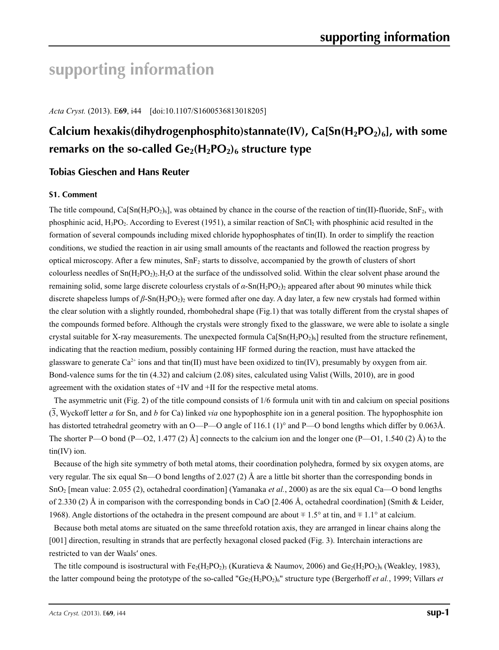# **supporting information**

*Acta Cryst.* (2013). E**69**, i44 [doi:10.1107/S1600536813018205]

# **Calcium hexakis(dihydrogenphosphito)stannate(IV), Ca[Sn(H<sub>2</sub>PO<sub>2</sub>)<sub>6</sub>], with some** remarks on the so-called  $Ge_2(H_2PO_2)_6$  structure type

## **Tobias Gieschen and Hans Reuter**

#### **S1. Comment**

The title compound, Ca[Sn(H<sub>2</sub>PO<sub>2</sub>)<sub>6</sub>], was obtained by chance in the course of the reaction of tin(II)-fluoride, SnF<sub>2</sub>, with phosphinic acid,  $H_3PO_2$ . According to Everest (1951), a similar reaction of  $SnCl_2$  with phosphinic acid resulted in the formation of several compounds including mixed chloride hypophosphates of tin(II). In order to simplify the reaction conditions, we studied the reaction in air using small amounts of the reactants and followed the reaction progress by optical microscopy. After a few minutes,  $SnF<sub>2</sub>$  starts to dissolve, accompanied by the growth of clusters of short colourless needles of  $Sn(H_2PO_2)_2.H_2O$  at the surface of the undissolved solid. Within the clear solvent phase around the remaining solid, some large discrete colourless crystals of  $\alpha$ -Sn(H<sub>2</sub>PO<sub>2</sub>)<sub>2</sub> appeared after about 90 minutes while thick discrete shapeless lumps of *β*-Sn(H<sub>2</sub>PO<sub>2</sub>)<sub>2</sub> were formed after one day. A day later, a few new crystals had formed within the clear solution with a slightly rounded, rhombohedral shape (Fig.1) that was totally different from the crystal shapes of the compounds formed before. Although the crystals were strongly fixed to the glassware, we were able to isolate a single crystal suitable for X-ray measurements. The unexpected formula  $Ca[Sn(H_2PO_2)_6]$  resulted from the structure refinement, indicating that the reaction medium, possibly containing HF formed during the reaction, must have attacked the glassware to generate  $Ca^{2+}$  ions and that tin(II) must have been oxidized to tin(IV), presumably by oxygen from air. Bond-valence sums for the tin (4.32) and calcium (2.08) sites, calculated using Valist (Wills, 2010), are in good agreement with the oxidation states of +IV and +II for the respective metal atoms.

The asymmetric unit (Fig. 2) of the title compound consists of 1/6 formula unit with tin and calcium on special positions (3, Wyckoff letter *a* for Sn, and *b* for Ca) linked *via* one hypophosphite ion in a general position. The hypophosphite ion has distorted tetrahedral geometry with an O—P—O angle of 116.1 (1)° and P—O bond lengths which differ by 0.063Å. The shorter P—O bond  $(P$ —O2, 1.477 (2) Å] connects to the calcium ion and the longer one  $(P$ —O1, 1.540 (2) Å) to the tin(IV) ion.

Because of the high site symmetry of both metal atoms, their coordination polyhedra, formed by six oxygen atoms, are very regular. The six equal Sn—O bond lengths of 2.027 (2) Å are a little bit shorter than the corresponding bonds in SnO2 [mean value: 2.055 (2), octahedral coordination] (Yamanaka *et al.*, 2000) as are the six equal Ca—O bond lengths of 2.330 (2) Å in comparison with the corresponding bonds in CaO [2.406 Å, octahedral coordination] (Smith & Leider, 1968). Angle distortions of the octahedra in the present compound are about  $\pm 1.5^\circ$  at tin, and  $\pm 1.1^\circ$  at calcium.

Because both metal atoms are situated on the same threefold rotation axis, they are arranged in linear chains along the [001] direction, resulting in strands that are perfectly hexagonal closed packed (Fig. 3). Interchain interactions are restricted to van der Waals′ ones.

The title compound is isostructural with  $Fe<sub>2</sub>(H<sub>2</sub>PO<sub>2</sub>)<sub>3</sub>$  (Kuratieva & Naumov, 2006) and  $Ge<sub>2</sub>(H<sub>2</sub>PO<sub>2</sub>)<sub>6</sub>$  (Weakley, 1983), the latter compound being the prototype of the so-called " $Ge_2(H_2PO_2)_6$ " structure type (Bergerhoff *et al.*, 1999; Villars *et*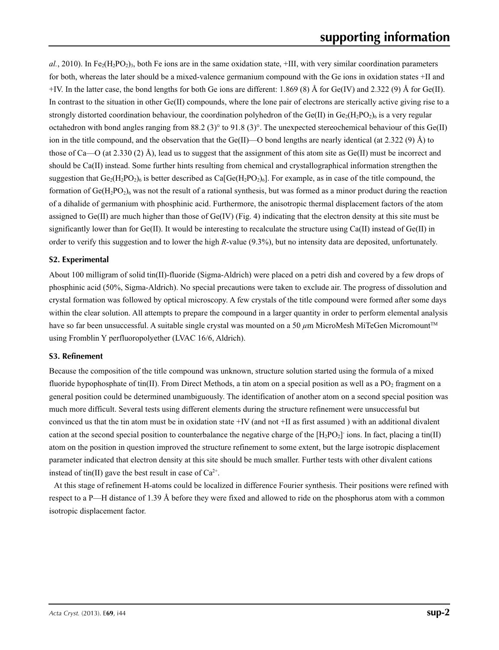$aL$ , 2010). In Fe<sub>2</sub>(H<sub>2</sub>PO<sub>2</sub>)<sub>3</sub>, both Fe ions are in the same oxidation state,  $+III$ , with very similar coordination parameters for both, whereas the later should be a mixed-valence germanium compound with the Ge ions in oxidation states +II and +IV. In the latter case, the bond lengths for both Ge ions are different: 1.869 (8) Å for Ge(IV) and 2.322 (9) Å for Ge(II). In contrast to the situation in other Ge(II) compounds, where the lone pair of electrons are sterically active giving rise to a strongly distorted coordination behaviour, the coordination polyhedron of the Ge(II) in  $Ge_2(H_2PO_2)_6$  is a very regular octahedron with bond angles ranging from 88.2 (3)° to 91.8 (3)°. The unexpected stereochemical behaviour of this Ge(II) ion in the title compound, and the observation that the Ge(II)—O bond lengths are nearly identical (at 2.322 (9) Å) to those of Ca—O (at 2.330 (2) Å), lead us to suggest that the assignment of this atom site as Ge(II) must be incorrect and should be Ca(II) instead. Some further hints resulting from chemical and crystallographical information strengthen the suggestion that  $Ge_2(H_2PO_2)_6$  is better described as  $Ca[Ge(H_2PO_2)_6]$ . For example, as in case of the title compound, the formation of  $Ge(H_2PO_2)_6$  was not the result of a rational synthesis, but was formed as a minor product during the reaction of a dihalide of germanium with phosphinic acid. Furthermore, the anisotropic thermal displacement factors of the atom assigned to  $Ge(II)$  are much higher than those of  $Ge(IV)$  (Fig. 4) indicating that the electron density at this site must be significantly lower than for  $Ge(II)$ . It would be interesting to recalculate the structure using  $Ca(II)$  instead of  $Ge(II)$  in order to verify this suggestion and to lower the high *R*-value (9.3%), but no intensity data are deposited, unfortunately.

#### **S2. Experimental**

About 100 milligram of solid tin(II)-fluoride (Sigma-Aldrich) were placed on a petri dish and covered by a few drops of phosphinic acid (50%, Sigma-Aldrich). No special precautions were taken to exclude air. The progress of dissolution and crystal formation was followed by optical microscopy. A few crystals of the title compound were formed after some days within the clear solution. All attempts to prepare the compound in a larger quantity in order to perform elemental analysis have so far been unsuccessful. A suitable single crystal was mounted on a 50  $\mu$ m MicroMesh MiTeGen Micromount™ using Fromblin Y perfluoropolyether (LVAC 16/6, Aldrich).

#### **S3. Refinement**

Because the composition of the title compound was unknown, structure solution started using the formula of a mixed fluoride hypophosphate of tin(II). From Direct Methods, a tin atom on a special position as well as a  $PO<sub>2</sub>$  fragment on a general position could be determined unambiguously. The identification of another atom on a second special position was much more difficult. Several tests using different elements during the structure refinement were unsuccessful but convinced us that the tin atom must be in oxidation state +IV (and not +II as first assumed ) with an additional divalent cation at the second special position to counterbalance the negative charge of the  $[H_2PO_2]$  ions. In fact, placing a tin(II) atom on the position in question improved the structure refinement to some extent, but the large isotropic displacement parameter indicated that electron density at this site should be much smaller. Further tests with other divalent cations instead of tin(II) gave the best result in case of  $Ca^{2+}$ .

At this stage of refinement H-atoms could be localized in difference Fourier synthesis. Their positions were refined with respect to a P—H distance of 1.39 Å before they were fixed and allowed to ride on the phosphorus atom with a common isotropic displacement factor.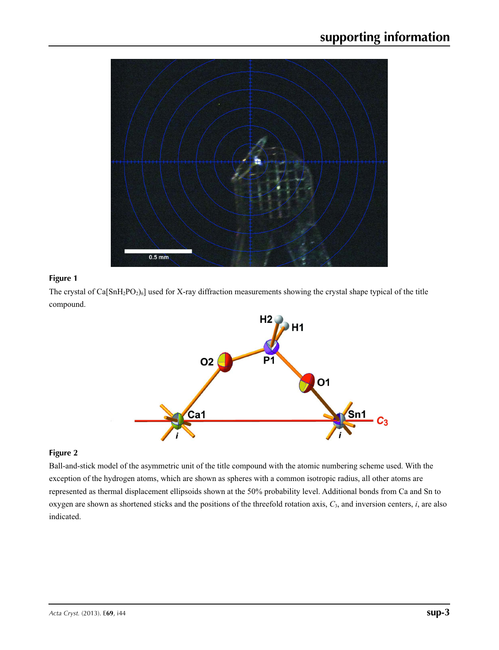

### **Figure 1**

The crystal of  $Ca[SnH<sub>2</sub>PO<sub>2</sub>)<sub>6</sub>$ ] used for X-ray diffraction measurements showing the crystal shape typical of the title compound.



#### **Figure 2**

Ball-and-stick model of the asymmetric unit of the title compound with the atomic numbering scheme used. With the exception of the hydrogen atoms, which are shown as spheres with a common isotropic radius, all other atoms are represented as thermal displacement ellipsoids shown at the 50% probability level. Additional bonds from Ca and Sn to oxygen are shown as shortened sticks and the positions of the threefold rotation axis, *C*3, and inversion centers, *i*, are also indicated.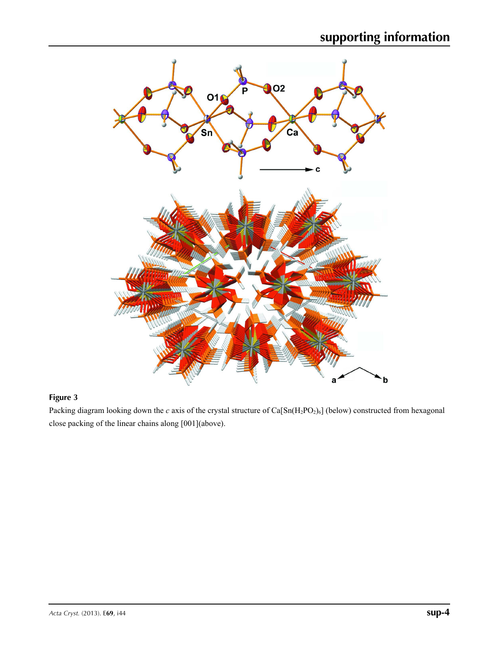

## **Figure 3**

Packing diagram looking down the *c* axis of the crystal structure of Ca[Sn(H<sub>2</sub>PO<sub>2</sub>)<sub>6</sub>] (below) constructed from hexagonal close packing of the linear chains along [001](above).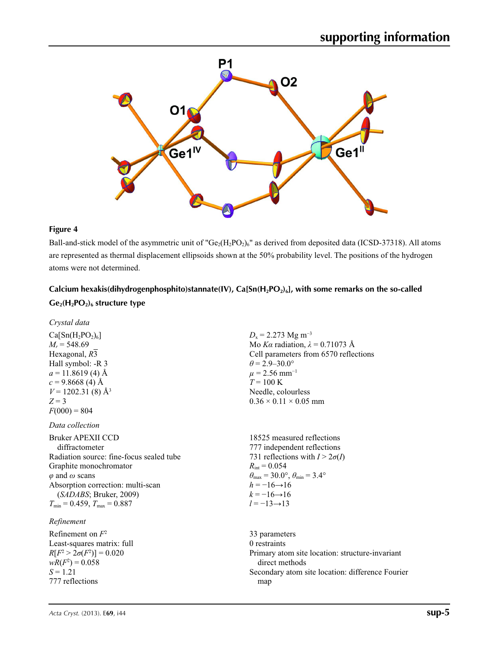

#### **Figure 4**

Ball-and-stick model of the asymmetric unit of " $Ge_2(H_2PO_2)_6$ " as derived from deposited data (ICSD-37318). All atoms are represented as thermal displacement ellipsoids shown at the 50% probability level. The positions of the hydrogen atoms were not determined.

## Calcium hexakis(dihydrogenphosphito)stannate(IV), Ca[Sn(H<sub>2</sub>PO<sub>2</sub>)<sub>6</sub>], with some remarks on the so-called Ge<sub>2</sub>(H<sub>2</sub>PO<sub>2</sub>)<sub>6</sub> structure type

*Crystal data*

 $Ca[Sn(H<sub>2</sub>PO<sub>2</sub>)<sub>6</sub>]$  $M_r = 548.69$ Hexagonal, *R*3 Hall symbol: -R 3  $a = 11.8619(4)$  Å  $c = 9.8668$  (4) Å  $V = 1202.31(8)$  Å<sup>3</sup>  $Z = 3$  $F(000) = 804$ 

*Data collection*

Bruker APEXII CCD diffractometer Radiation source: fine-focus sealed tube Graphite monochromator *φ* and *ω* scans Absorption correction: multi-scan (*SADABS*; Bruker, 2009)  $T_{\text{min}} = 0.459$ ,  $T_{\text{max}} = 0.887$ 

### *Refinement*

Refinement on *F*<sup>2</sup> Least-squares matrix: full  $R[F^2 > 2\sigma(F^2)] = 0.020$  $wR(F^2) = 0.058$  $S = 1.21$ 777 reflections

 $D_x = 2.273$  Mg m<sup>-3</sup> Mo *Kα* radiation,  $\lambda = 0.71073$  Å Cell parameters from 6570 reflections  $\theta$  = 2.9–30.0°  $\mu$  = 2.56 mm<sup>-1</sup>  $T = 100 \text{ K}$ Needle, colourless  $0.36 \times 0.11 \times 0.05$  mm

18525 measured reflections 777 independent reflections 731 reflections with  $I > 2\sigma(I)$  $R_{\text{int}} = 0.054$  $\theta_{\text{max}} = 30.0^{\circ}, \theta_{\text{min}} = 3.4^{\circ}$  $h = -16 \rightarrow 16$  $k = -16 \rightarrow 16$ *l* = −13→13

33 parameters 0 restraints Primary atom site location: structure-invariant direct methods Secondary atom site location: difference Fourier map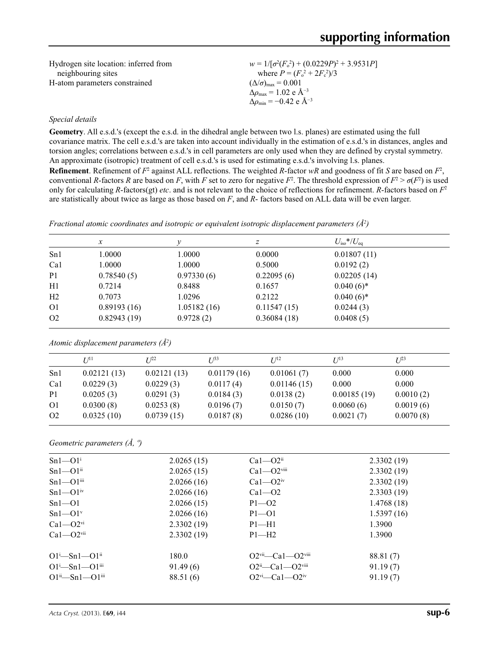| Hydrogen site location: inferred from | $w = 1/[\sigma^2(F_0^2) + (0.0229P)^2 + 3.9531P]$        |
|---------------------------------------|----------------------------------------------------------|
| neighbouring sites                    | where $P = (F_0^2 + 2F_c^2)/3$                           |
| H-atom parameters constrained         | $(\Delta/\sigma)_{\text{max}} = 0.001$                   |
|                                       | $\Delta\rho_{\rm max} = 1.02 \text{ e } \text{\AA}^{-3}$ |
|                                       | $\Delta\rho_{\rm min} = -0.42 \text{ e A}^{-3}$          |

#### *Special details*

**Geometry**. All e.s.d.'s (except the e.s.d. in the dihedral angle between two l.s. planes) are estimated using the full covariance matrix. The cell e.s.d.'s are taken into account individually in the estimation of e.s.d.'s in distances, angles and torsion angles; correlations between e.s.d.'s in cell parameters are only used when they are defined by crystal symmetry. An approximate (isotropic) treatment of cell e.s.d.'s is used for estimating e.s.d.'s involving l.s. planes. **Refinement**. Refinement of  $F^2$  against ALL reflections. The weighted R-factor wR and goodness of fit *S* are based on  $F^2$ , conventional *R*-factors *R* are based on *F*, with *F* set to zero for negative  $F^2$ . The threshold expression of  $F^2 > \sigma(F^2)$  is used only for calculating *R*-factors(gt) *etc*. and is not relevant to the choice of reflections for refinement. *R*-factors based on *F*<sup>2</sup> are statistically about twice as large as those based on *F*, and *R*- factors based on ALL data will be even larger.

| Fractional atomic coordinates and isotropic or equivalent isotropic displacement parameters $(\hat{A}^2)$ |  |  |
|-----------------------------------------------------------------------------------------------------------|--|--|
|                                                                                                           |  |  |

|                | $\mathcal{X}$ |             | Ζ           | $U_{\rm iso}$ */ $U_{\rm eq}$ |  |
|----------------|---------------|-------------|-------------|-------------------------------|--|
| Sn1            | 1.0000        | 1.0000      | 0.0000      | 0.01807(11)                   |  |
| Ca1            | 1.0000        | 1.0000      | 0.5000      | 0.0192(2)                     |  |
| P <sub>1</sub> | 0.78540(5)    | 0.97330(6)  | 0.22095(6)  | 0.02205(14)                   |  |
| H1             | 0.7214        | 0.8488      | 0.1657      | $0.040(6)$ *                  |  |
| H <sub>2</sub> | 0.7073        | 1.0296      | 0.2122      | $0.040(6)$ *                  |  |
| O <sub>1</sub> | 0.89193(16)   | 1.05182(16) | 0.11547(15) | 0.0244(3)                     |  |
| O <sub>2</sub> | 0.82943(19)   | 0.9728(2)   | 0.36084(18) | 0.0408(5)                     |  |
|                |               |             |             |                               |  |

*Atomic displacement parameters (Å2 )*

|                | I/11        | $L^{p_2}$   | $I^{\beta 3}$ | I/I <sup>2</sup> | $I/I^3$     | $I^{23}$  |
|----------------|-------------|-------------|---------------|------------------|-------------|-----------|
| Sn1            | 0.02121(13) | 0.02121(13) | 0.01179(16)   | 0.01061(7)       | 0.000       | 0.000     |
| Ca1            | 0.0229(3)   | 0.0229(3)   | 0.0117(4)     | 0.01146(15)      | 0.000       | 0.000     |
| P <sub>1</sub> | 0.0205(3)   | 0.0291(3)   | 0.0184(3)     | 0.0138(2)        | 0.00185(19) | 0.0010(2) |
| O <sub>1</sub> | 0.0300(8)   | 0.0253(8)   | 0.0196(7)     | 0.0150(7)        | 0.0060(6)   | 0.0019(6) |
| O <sub>2</sub> | 0.0325(10)  | 0.0739(15)  | 0.0187(8)     | 0.0286(10)       | 0.0021(7)   | 0.0070(8) |

*Geometric parameters (Å, º)*

| $Sn1 - O1i$                             | 2.0265(15) | $Ca1 - O2ii$                                | 2.3302(19) |  |
|-----------------------------------------|------------|---------------------------------------------|------------|--|
| $Sn1 - O1ii$                            | 2.0265(15) | $Ca1 - O2$ <sup>viii</sup>                  | 2.3302(19) |  |
| $Sn1 - O1$ <sup>iii</sup>               | 2.0266(16) | $Ca1 - O2iv$                                | 2.3302(19) |  |
| $Sn1 - O1iv$                            | 2.0266(16) | $Ca1 - O2$                                  | 2.3303(19) |  |
| $Sn1 - O1$                              | 2.0266(15) | $P1 - O2$                                   | 1.4768(18) |  |
| $Sn1 - O1$ <sup>v</sup>                 | 2.0266(16) | $P1 - O1$                                   | 1.5397(16) |  |
| $Ca1 - O2$ <sup>vi</sup>                | 2.3302(19) | $P1 - H1$                                   | 1.3900     |  |
| $Ca1 - O2$ <sup>vii</sup>               | 2.3302(19) | $P1 - H2$                                   | 1.3900     |  |
| $O1^i$ —Sn $1$ — $O1^{ii}$              | 180.0      | $O2$ <sup>vii</sup> —Ca1—O2 <sup>viii</sup> | 88.81 (7)  |  |
| $O1^{\text{i}}$ -Sn1- $O1^{\text{iii}}$ | 91.49(6)   | $O2ii$ -Ca1- $O2viii$                       | 91.19(7)   |  |
| $O1^{ii} - Sn1 - O1^{iii}$              | 88.51 (6)  | $O2^{vi}$ - $Ca1$ - $O2^{iv}$               | 91.19(7)   |  |
|                                         |            |                                             |            |  |